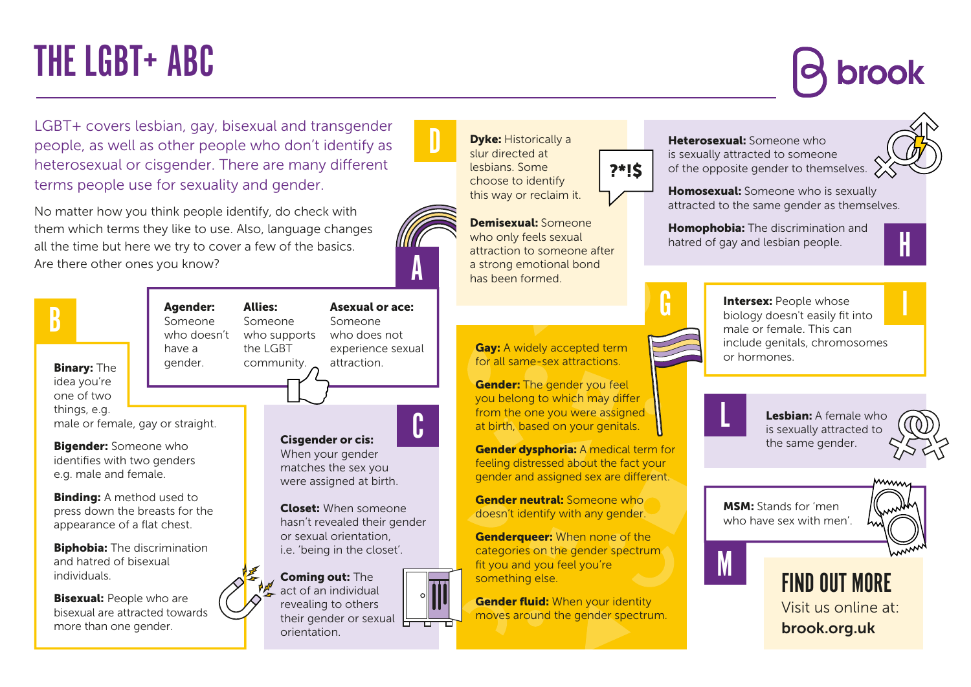# THE LGBT+ ABC

LGBT+ covers lesbian, gay, bisexual and transgender people, as well as other people who don't identify as heterosexual or cisgender. There are many different terms people use for sexuality and gender.

No matter how you think people identify, do check with them which terms they like to use. Also, language changes all the time but here we try to cover a few of the basics. Are there other ones you know?





**Dyke: Historically a** slur directed at lesbians. Some choose to identify this way or reclaim it.

?\*!\$

Demisexual: Someone who only feels sexual attraction to someone after a strong emotional bond has been formed.

**Gay:** A widely accepted term for all same-sex attractions.

**Gender:** The gender you feel you belong to which may differ from the one you were assigned at birth, based on your genitals.

Gender dysphoria: A medical term for feeling distressed about the fact your gender and assigned sex are different.

Gender neutral: Someone who doesn't identify with any gender.

**Genderqueer:** When none of the categories on the gender spectrum fit you and you feel you're something else.

**Gender fluid:** When your identity moves around the gender spectrum.



H

**Homosexual:** Someone who is sexually attracted to the same gender as themselves.

**Homophobia:** The discrimination and hatred of gay and lesbian people.



G Intersex: People whose I **Intersex: People whose** male or female. This can include genitals, chromosomes



M

Lesbian: A female who is sexually attracted to the same gender.



MSM: Stands for 'men who have sex with men'.



Visit us online at: brook.org.uk FIND OUT MORE